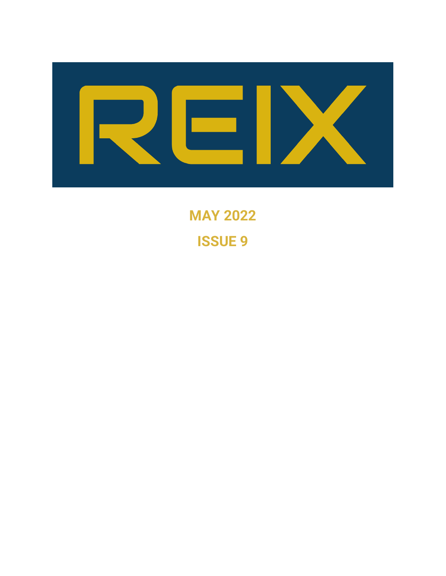

**MAY 2022 ISSUE 9**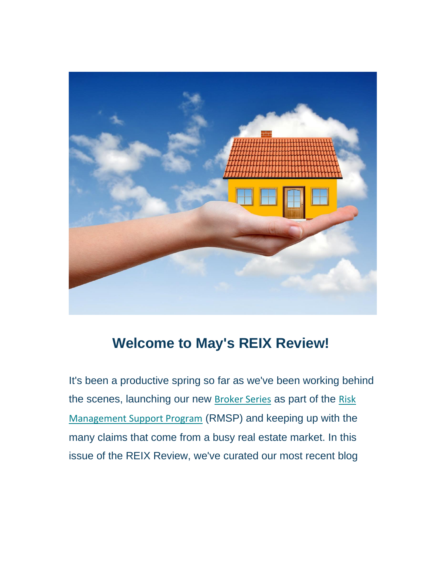

# **Welcome to May's REIX Review!**

It's been a productive spring so far as we've been working behind the scenes, launching our new [Broker Series](https://nam12.safelinks.protection.outlook.com/?url=https%3A%2F%2Fwww.reix.ca%2Frisk-management-support-program%2Fbroker-series%2F&data=05%7C01%7C%7C2011c83590b841b0ce9608da32df717c%7C84df9e7fe9f640afb435aaaaaaaaaaaa%7C1%7C0%7C637878232511145893%7CUnknown%7CTWFpbGZsb3d8eyJWIjoiMC4wLjAwMDAiLCJQIjoiV2luMzIiLCJBTiI6Ik1haWwiLCJXVCI6Mn0%3D%7C3000%7C%7C%7C&sdata=pH3datOq21%2FTynsVOOA8bs3q329uqV7FfkmE08i77ZQ%3D&reserved=0) as part of the [Risk](https://nam12.safelinks.protection.outlook.com/?url=https%3A%2F%2Fwww.reix.ca%2Frisk-management-support-program%2F&data=05%7C01%7C%7C2011c83590b841b0ce9608da32df717c%7C84df9e7fe9f640afb435aaaaaaaaaaaa%7C1%7C0%7C637878232511145893%7CUnknown%7CTWFpbGZsb3d8eyJWIjoiMC4wLjAwMDAiLCJQIjoiV2luMzIiLCJBTiI6Ik1haWwiLCJXVCI6Mn0%3D%7C3000%7C%7C%7C&sdata=71I7UtrLRZtoGoDuFJHyzIdA6fm8ZmLwTgFzDmZeTQY%3D&reserved=0)  [Management Support Program](https://nam12.safelinks.protection.outlook.com/?url=https%3A%2F%2Fwww.reix.ca%2Frisk-management-support-program%2F&data=05%7C01%7C%7C2011c83590b841b0ce9608da32df717c%7C84df9e7fe9f640afb435aaaaaaaaaaaa%7C1%7C0%7C637878232511145893%7CUnknown%7CTWFpbGZsb3d8eyJWIjoiMC4wLjAwMDAiLCJQIjoiV2luMzIiLCJBTiI6Ik1haWwiLCJXVCI6Mn0%3D%7C3000%7C%7C%7C&sdata=71I7UtrLRZtoGoDuFJHyzIdA6fm8ZmLwTgFzDmZeTQY%3D&reserved=0) (RMSP) and keeping up with the many claims that come from a busy real estate market. In this issue of the REIX Review, we've curated our most recent blog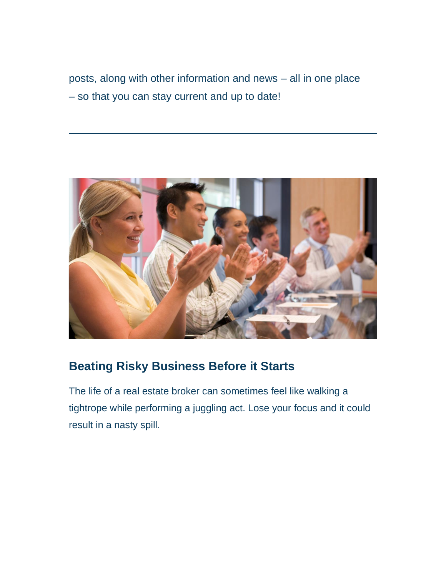posts, along with other information and news – all in one place – so that you can stay current and up to date!



# **Beating Risky Business Before it Starts**

The life of a real estate broker can sometimes feel like walking a tightrope while performing a juggling act. Lose your focus and it could result in a nasty spill.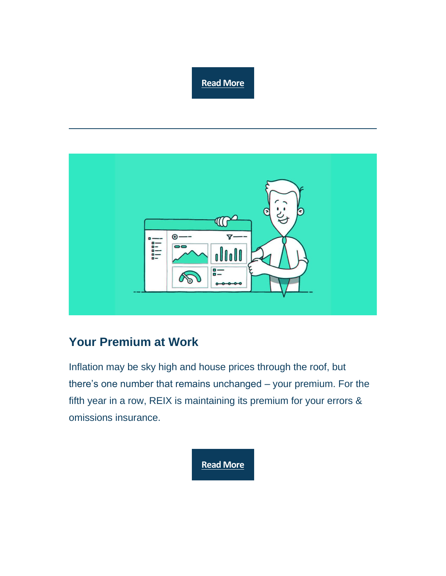#### **[Read More](https://nam12.safelinks.protection.outlook.com/?url=https%3A%2F%2Fwww.reix.ca%2Fblog-post%2Fbeating-risky-business-before-it-begins%2F&data=05%7C01%7C%7C2011c83590b841b0ce9608da32df717c%7C84df9e7fe9f640afb435aaaaaaaaaaaa%7C1%7C0%7C637878232511145893%7CUnknown%7CTWFpbGZsb3d8eyJWIjoiMC4wLjAwMDAiLCJQIjoiV2luMzIiLCJBTiI6Ik1haWwiLCJXVCI6Mn0%3D%7C3000%7C%7C%7C&sdata=huhwQFFQV7zg88s5GramHHcnRo13%2FqtP5pWwVl%2BV3Gk%3D&reserved=0)**



### **Your Premium at Work**

Inflation may be sky high and house prices through the roof, but there's one number that remains unchanged – your premium. For the fifth year in a row, REIX is maintaining its premium for your errors & omissions insurance.

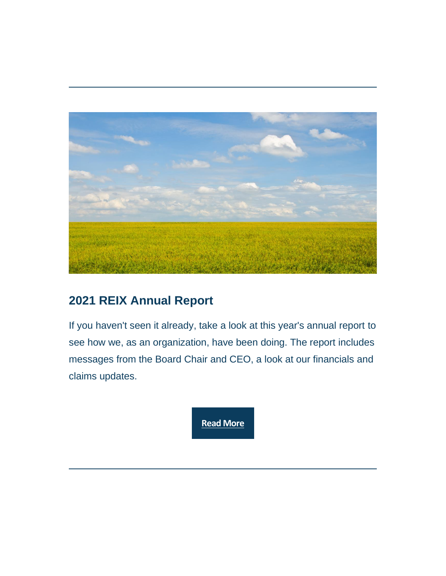

# **2021 REIX Annual Report**

If you haven't seen it already, take a look at this year's annual report to see how we, as an organization, have been doing. The report includes messages from the Board Chair and CEO, a look at our financials and claims updates.

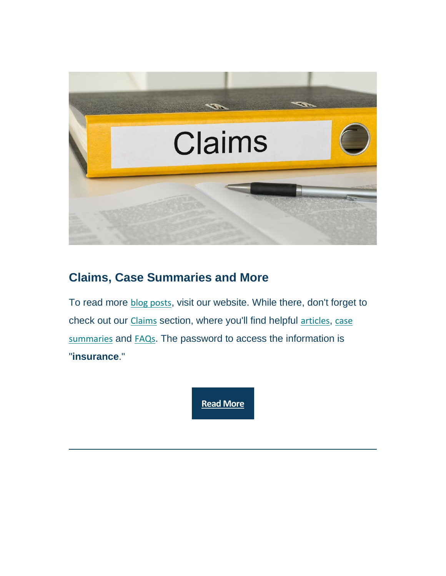

## **Claims, Case Summaries and More**

To read more [blog posts](https://nam12.safelinks.protection.outlook.com/?url=https%3A%2F%2Fwww.reix.ca%2Frisk-management-support-program%2Fblog-posts%2F&data=05%7C01%7C%7C2011c83590b841b0ce9608da32df717c%7C84df9e7fe9f640afb435aaaaaaaaaaaa%7C1%7C0%7C637878232511145893%7CUnknown%7CTWFpbGZsb3d8eyJWIjoiMC4wLjAwMDAiLCJQIjoiV2luMzIiLCJBTiI6Ik1haWwiLCJXVCI6Mn0%3D%7C3000%7C%7C%7C&sdata=Rnyw76GwwM2RS3K8qnPHMyxVCluxWNs7pm7imR4KpDs%3D&reserved=0), visit our website. While there, don't forget to check out our [Claims](https://nam12.safelinks.protection.outlook.com/?url=https%3A%2F%2Fwww.reix.ca%2Fclaims%2F&data=05%7C01%7C%7C2011c83590b841b0ce9608da32df717c%7C84df9e7fe9f640afb435aaaaaaaaaaaa%7C1%7C0%7C637878232511145893%7CUnknown%7CTWFpbGZsb3d8eyJWIjoiMC4wLjAwMDAiLCJQIjoiV2luMzIiLCJBTiI6Ik1haWwiLCJXVCI6Mn0%3D%7C3000%7C%7C%7C&sdata=rq9%2BXMGUMi8vZuJqlT93FbffuJwjFvyZi1VwGtjruas%3D&reserved=0) section, where you'll find helpful [articles](https://nam12.safelinks.protection.outlook.com/?url=https%3A%2F%2Fwww.reix.ca%2Fnews%2Farticles%2F&data=05%7C01%7C%7C2011c83590b841b0ce9608da32df717c%7C84df9e7fe9f640afb435aaaaaaaaaaaa%7C1%7C0%7C637878232511145893%7CUnknown%7CTWFpbGZsb3d8eyJWIjoiMC4wLjAwMDAiLCJQIjoiV2luMzIiLCJBTiI6Ik1haWwiLCJXVCI6Mn0%3D%7C3000%7C%7C%7C&sdata=LgLGNv%2FmpillWWvF3jleMjACkbmudU%2FSSNYdXlxWFwk%3D&reserved=0), case [summaries](https://nam12.safelinks.protection.outlook.com/?url=https%3A%2F%2Fwww.reix.ca%2Fclaims%2Fcase-summaries%2F&data=05%7C01%7C%7C2011c83590b841b0ce9608da32df717c%7C84df9e7fe9f640afb435aaaaaaaaaaaa%7C1%7C0%7C637878232511302114%7CUnknown%7CTWFpbGZsb3d8eyJWIjoiMC4wLjAwMDAiLCJQIjoiV2luMzIiLCJBTiI6Ik1haWwiLCJXVCI6Mn0%3D%7C3000%7C%7C%7C&sdata=cZmAV91QAkFcLqZcooUe2Ccn6YXA2VHCaT81UVqlZiU%3D&reserved=0) and [FAQs](https://nam12.safelinks.protection.outlook.com/?url=https%3A%2F%2Fwww.reix.ca%2Fclaims%2Ffaq%2F&data=05%7C01%7C%7C2011c83590b841b0ce9608da32df717c%7C84df9e7fe9f640afb435aaaaaaaaaaaa%7C1%7C0%7C637878232511302114%7CUnknown%7CTWFpbGZsb3d8eyJWIjoiMC4wLjAwMDAiLCJQIjoiV2luMzIiLCJBTiI6Ik1haWwiLCJXVCI6Mn0%3D%7C3000%7C%7C%7C&sdata=8uFBwuC6GyeSeKAe4r28Z7y7Qx9N%2FJ3Yx98eeXyjgeI%3D&reserved=0). The password to access the information is "**insurance**."